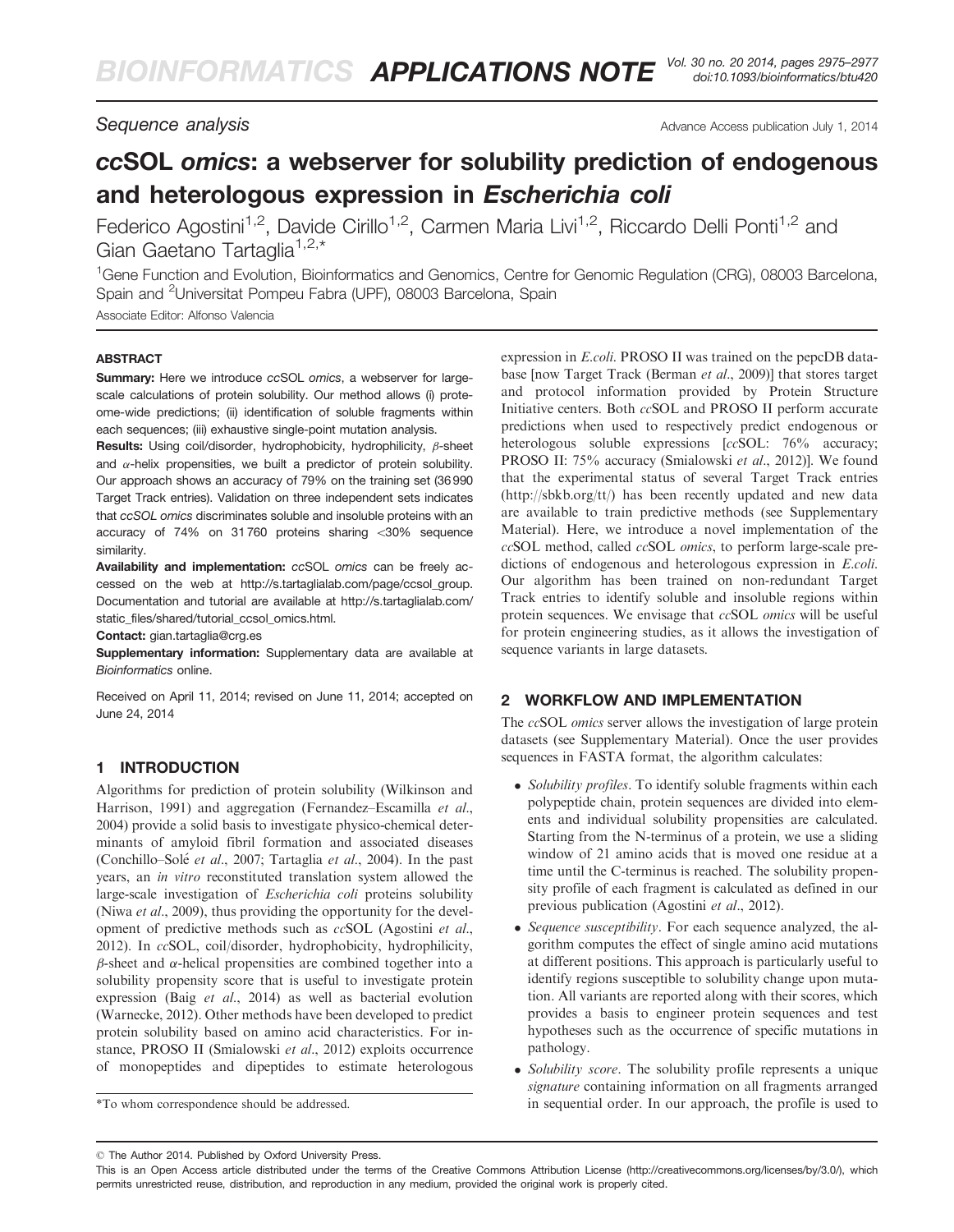Sequence analysis and the settlement of the settlement of the Advance Access publication July 1, 2014

# ccSOL omics: a webserver for solubility prediction of endogenous and heterologous expression in Escherichia coli

Federico Agostini<sup>1,2</sup>, Davide Cirillo<sup>1,2</sup>, Carmen Maria Livi<sup>1,2</sup>, Riccardo Delli Ponti<sup>1,2</sup> and Gian Gaetano Tartaglia<sup>1,2,\*</sup>

<sup>1</sup>Gene Function and Evolution, Bioinformatics and Genomics, Centre for Genomic Regulation (CRG), 08003 Barcelona, Spain and <sup>2</sup>Universitat Pompeu Fabra (UPF), 08003 Barcelona, Spain

Associate Editor: Alfonso Valencia

#### **ABSTRACT**

Summary: Here we introduce ccSOL omics, a webserver for largescale calculations of protein solubility. Our method allows (i) proteome-wide predictions; (ii) identification of soluble fragments within each sequences; (iii) exhaustive single-point mutation analysis.

**Results:** Using coil/disorder, hydrophobicity, hydrophilicity,  $\beta$ -sheet and  $\alpha$ -helix propensities, we built a predictor of protein solubility. Our approach shows an accuracy of 79% on the training set (36 990 Target Track entries). Validation on three independent sets indicates that ccSOL omics discriminates soluble and insoluble proteins with an accuracy of  $74\%$  on  $31760$  proteins sharing  $<$ 30% sequence similarity.

Availability and implementation: ccSOL omics can be freely accessed on the web at [http://s.tartaglialab.com/page/ccsol\\_group.](http://s.tartaglialab.com/page/ccsol_group) Documentation and tutorial are available at [http://s.tartaglialab.com/](http://s.tartaglialab.com/static_files/shared/tutorial_ccsol_omics.html) [static\\_files/shared/tutorial\\_ccsol\\_omics.html.](http://s.tartaglialab.com/static_files/shared/tutorial_ccsol_omics.html)

Contact: [gian.tartaglia@crg.es](mailto:gian.tartaglia@crg.es)

Supplementary information: [Supplementary data](http://s.tartaglialab.com/static_files/shared/tutorial_ccsol_omics.html) are available at Bioinformatics online.

Received on April 11, 2014; revised on June 11, 2014; accepted on June 24, 2014

#### 1 INTRODUCTION

Algorithms for prediction of protein solubility [\(Wilkinson and](#page-2-0) [Harrison, 1991\)](#page-2-0) and aggregation ([Fernandez–Escamilla](#page-2-0) et al., [2004](#page-2-0)) provide a solid basis to investigate physico-chemical determinants of amyloid fibril formation and associated diseases (Conchillo–Solé et al.[, 2007](#page-2-0); [Tartaglia](#page-2-0) et al., 2004). In the past years, an in vitro reconstituted translation system allowed the large-scale investigation of Escherichia coli proteins solubility (Niwa *et al.*[, 2009\)](#page-2-0), thus providing the opportunity for the development of predictive methods such as ccSOL [\(Agostini](#page-2-0) et al., [2012](#page-2-0)). In ccSOL, coil/disorder, hydrophobicity, hydrophilicity,  $\beta$ -sheet and  $\alpha$ -helical propensities are combined together into a solubility propensity score that is useful to investigate protein expression (Baig et al.[, 2014](#page-2-0)) as well as bacterial evolution ([Warnecke, 2012](#page-2-0)). Other methods have been developed to predict protein solubility based on amino acid characteristics. For instance, PROSO II [\(Smialowski](#page-2-0) et al., 2012) exploits occurrence of monopeptides and dipeptides to estimate heterologous

expression in E.coli. PROSO II was trained on the pepcDB database [now Target Track ([Berman](#page-2-0) et al., 2009)] that stores target and protocol information provided by Protein Structure Initiative centers. Both ccSOL and PROSO II perform accurate predictions when used to respectively predict endogenous or heterologous soluble expressions [ccSOL: 76% accuracy; PROSO II: 75% accuracy [\(Smialowski](#page-2-0) et al., 2012)]. We found that the experimental status of several Target Track entries (<http://sbkb.org/tt/>) has been recently updated and new data are available to train predictive methods (see [Supplementary](http://s.tartaglialab.com/static_files/shared/tutorial_ccsol_omics.html) [Material](http://s.tartaglialab.com/static_files/shared/tutorial_ccsol_omics.html)). Here, we introduce a novel implementation of the ccSOL method, called ccSOL omics, to perform large-scale predictions of endogenous and heterologous expression in E.coli. Our algorithm has been trained on non-redundant Target Track entries to identify soluble and insoluble regions within protein sequences. We envisage that ccSOL omics will be useful for protein engineering studies, as it allows the investigation of sequence variants in large datasets.

## 2 WORKFLOW AND IMPLEMENTATION

The ccSOL omics server allows the investigation of large protein datasets (see [Supplementary Material\)](http://s.tartaglialab.com/static_files/shared/tutorial_ccsol_omics.html). Once the user provides sequences in FASTA format, the algorithm calculates:

- Solubility profiles. To identify soluble fragments within each polypeptide chain, protein sequences are divided into elements and individual solubility propensities are calculated. Starting from the N-terminus of a protein, we use a sliding window of 21 amino acids that is moved one residue at a time until the C-terminus is reached. The solubility propensity profile of each fragment is calculated as defined in our previous publication ([Agostini](#page-2-0) et al., 2012).
- Sequence susceptibility. For each sequence analyzed, the algorithm computes the effect of single amino acid mutations at different positions. This approach is particularly useful to identify regions susceptible to solubility change upon mutation. All variants are reported along with their scores, which provides a basis to engineer protein sequences and test hypotheses such as the occurrence of specific mutations in pathology.
- Solubility score. The solubility profile represents a unique signature containing information on all fragments arranged \*To whom correspondence should be addressed. in sequential order. In our approach, the profile is used to

<sup>-</sup> The Author 2014. Published by Oxford University Press.

This is an Open Access article distributed under the terms of the Creative Commons Attribution License [\(http://creativecommons.org/licenses/by/3.0/\)](XPath error Undefined namespace prefix), which permits unrestricted reuse, distribution, and reproduction in any medium, provided the original work is properly cited.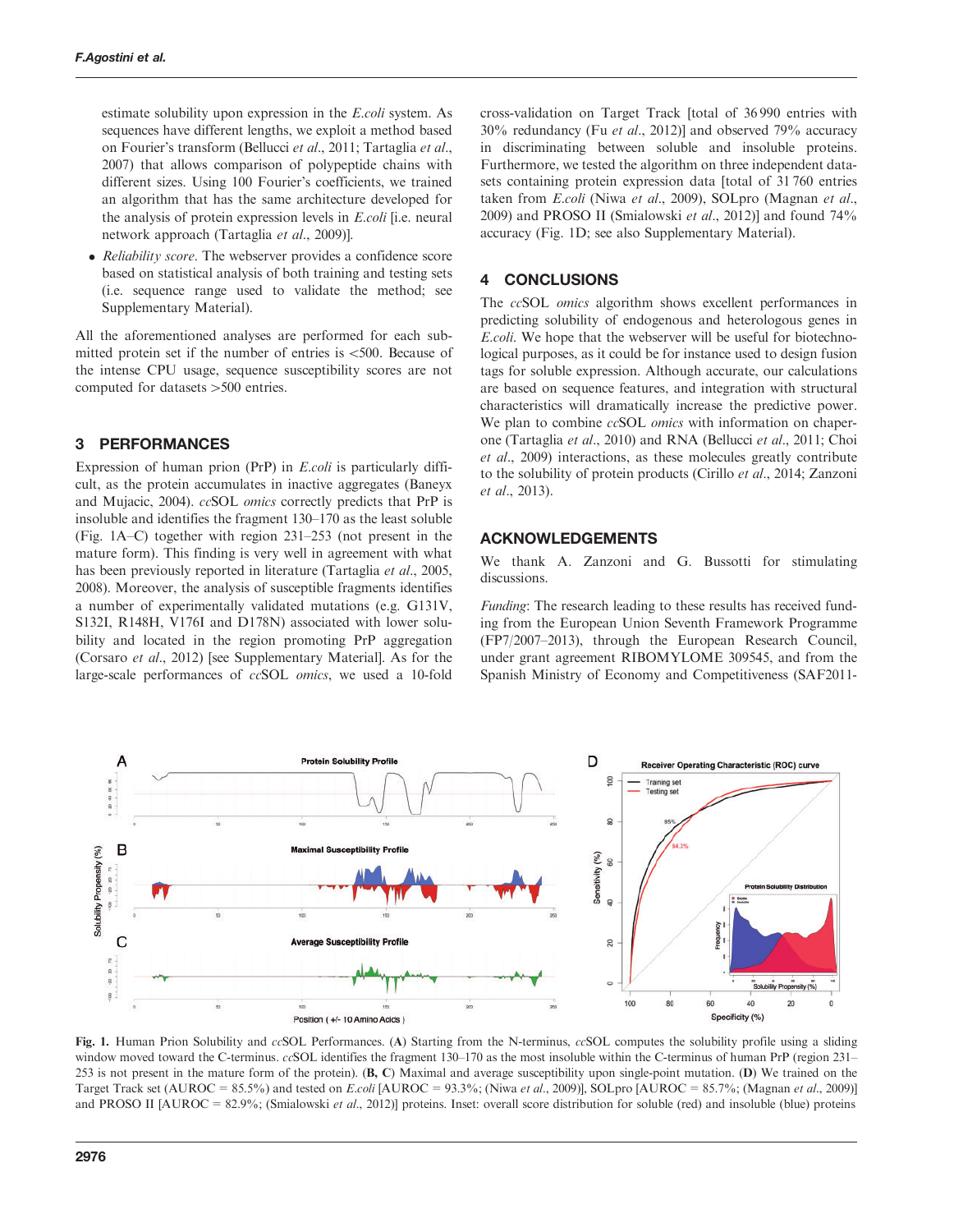estimate solubility upon expression in the E.coli system. As sequences have different lengths, we exploit a method based on Fourier's transform ([Bellucci](#page-2-0) et al., 2011; [Tartaglia](#page-2-0) et al., [2007](#page-2-0)) that allows comparison of polypeptide chains with different sizes. Using 100 Fourier's coefficients, we trained an algorithm that has the same architecture developed for the analysis of protein expression levels in E.coli [i.e. neural network approach ([Tartaglia](#page-2-0) et al., 2009)].

• Reliability score. The webserver provides a confidence score based on statistical analysis of both training and testing sets (i.e. sequence range used to validate the method; see [Supplementary Material](http://s.tartaglialab.com/static_files/shared/tutorial_ccsol_omics.html)).

All the aforementioned analyses are performed for each submitted protein set if the number of entries is  $\lt 500$ . Because of the intense CPU usage, sequence susceptibility scores are not computed for datasets >500 entries.

## 3 PERFORMANCES

Expression of human prion (PrP) in E.coli is particularly difficult, as the protein accumulates in inactive aggregates ([Baneyx](#page-2-0) [and Mujacic, 2004](#page-2-0)). ccSOL omics correctly predicts that PrP is insoluble and identifies the fragment 130–170 as the least soluble (Fig. 1A–C) together with region 231–253 (not present in the mature form). This finding is very well in agreement with what has been previously reported in literature ([Tartaglia](#page-2-0) *et al.*, 2005, [2008\)](#page-2-0). Moreover, the analysis of susceptible fragments identifies a number of experimentally validated mutations (e.g. G131V, S132I, R148H, V176I and D178N) associated with lower solubility and located in the region promoting PrP aggregation [\(Corsaro](#page-2-0) et al., 2012) [see [Supplementary Material\]](http://s.tartaglialab.com/static_files/shared/tutorial_ccsol_omics.html). As for the large-scale performances of ccSOL omics, we used a 10-fold

cross-validation on Target Track [total of 36 990 entries with 30% redundancy (Fu et al.[, 2012\)](#page-2-0)] and observed 79% accuracy in discriminating between soluble and insoluble proteins. Furthermore, we tested the algorithm on three independent datasets containing protein expression data [total of 31 760 entries taken from E.coli (Niwa et al.[, 2009](#page-2-0)), SOLpro ([Magnan](#page-2-0) et al., [2009\)](#page-2-0) and PROSO II [\(Smialowski](#page-2-0) et al., 2012)] and found 74% accuracy (Fig. 1D; see also [Supplementary Material\)](http://s.tartaglialab.com/static_files/shared/tutorial_ccsol_omics.html).

### 4 CONCLUSIONS

The ccSOL omics algorithm shows excellent performances in predicting solubility of endogenous and heterologous genes in E.coli. We hope that the webserver will be useful for biotechnological purposes, as it could be for instance used to design fusion tags for soluble expression. Although accurate, our calculations are based on sequence features, and integration with structural characteristics will dramatically increase the predictive power. We plan to combine *ccSOL omics* with information on chaperone ([Tartaglia](#page-2-0) et al., 2010) and RNA [\(Bellucci](#page-2-0) et al., 2011; [Choi](#page-2-0) et al.[, 2009\)](#page-2-0) interactions, as these molecules greatly contribute to the solubility of protein products ([Cirillo](#page-2-0) et al., 2014; [Zanzoni](#page-2-0) et al.[, 2013](#page-2-0)).

## ACKNOWLEDGEMENTS

We thank A. Zanzoni and G. Bussotti for stimulating discussions.

Funding: The research leading to these results has received funding from the European Union Seventh Framework Programme (FP7/2007–2013), through the European Research Council, under grant agreement RIBOMYLOME 309545, and from the Spanish Ministry of Economy and Competitiveness (SAF2011-



Fig. 1. Human Prion Solubility and ccSOL Performances. (A) Starting from the N-terminus, ccSOL computes the solubility profile using a sliding window moved toward the C-terminus. *ccSOL* identifies the fragment 130–170 as the most insoluble within the C-terminus of human PrP (region 231– 253 is not present in the mature form of the protein). (B, C) Maximal and average susceptibility upon single-point mutation. (D) We trained on the Target Track set (AUROC =  $85.5\%$ ) and tested on E.coli [AUROC =  $93.3\%$ ; (Niwa et al.[, 2009](#page-2-0))], SOLpro [AUROC =  $85.7\%$ ; ([Magnan](#page-2-0) et al., 2009)] and PROSO II [AUROC = 82.9%; [\(Smialowski](#page-2-0) et al., 2012)] proteins. Inset: overall score distribution for soluble (red) and insoluble (blue) proteins